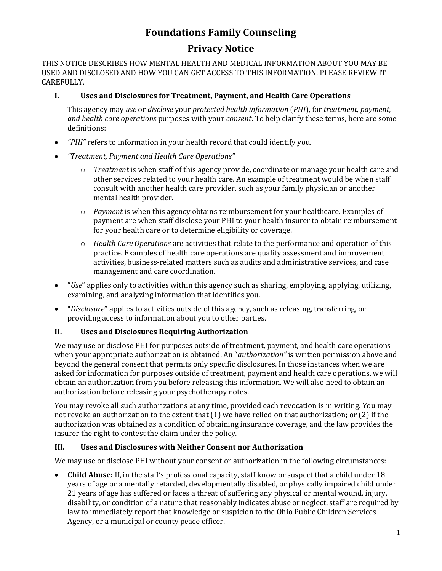# **Foundations Family Counseling**

# **Privacy Notice**

THIS NOTICE DESCRIBES HOW MENTAL HEALTH AND MEDICAL INFORMATION ABOUT YOU MAY BE USED AND DISCLOSED AND HOW YOU CAN GET ACCESS TO THIS INFORMATION. PLEASE REVIEW IT CAREFULLY.

### **I. Uses and Disclosures for Treatment, Payment, and Health Care Operations**

This agency may *use* or *disclose* your *protected health information* (*PHI*), for *treatment, payment, and health care operations* purposes with your *consent*. To help clarify these terms, here are some definitions:

- *"PHI"* refers to information in your health record that could identify you.
- *"Treatment, Payment and Health Care Operations"*
	- o *Treatment* is when staff of this agency provide, coordinate or manage your health care and other services related to your health care. An example of treatment would be when staff consult with another health care provider, such as your family physician or another mental health provider.
	- o *Payment* is when this agency obtains reimbursement for your healthcare. Examples of payment are when staff disclose your PHI to your health insurer to obtain reimbursement for your health care or to determine eligibility or coverage.
	- o *Health Care Operations* are activities that relate to the performance and operation of this practice. Examples of health care operations are quality assessment and improvement activities, business-related matters such as audits and administrative services, and case management and care coordination.
- "*Use*" applies only to activities within this agency such as sharing, employing, applying, utilizing, examining, and analyzing information that identifies you.
- "*Disclosure*" applies to activities outside of this agency, such as releasing, transferring, or providing access to information about you to other parties.

## **II. Uses and Disclosures Requiring Authorization**

We may use or disclose PHI for purposes outside of treatment, payment, and health care operations when your appropriate authorization is obtained. An "*authorization"* is written permission above and beyond the general consent that permits only specific disclosures. In those instances when we are asked for information for purposes outside of treatment, payment and health care operations, we will obtain an authorization from you before releasing this information. We will also need to obtain an authorization before releasing your psychotherapy notes.

You may revoke all such authorizations at any time, provided each revocation is in writing. You may not revoke an authorization to the extent that (1) we have relied on that authorization; or (2) if the authorization was obtained as a condition of obtaining insurance coverage, and the law provides the insurer the right to contest the claim under the policy.

### **III. Uses and Disclosures with Neither Consent nor Authorization**

We may use or disclose PHI without your consent or authorization in the following circumstances:

 **Child Abuse:** If, in the staff's professional capacity, staff know or suspect that a child under 18 years of age or a mentally retarded, developmentally disabled, or physically impaired child under 21 years of age has suffered or faces a threat of suffering any physical or mental wound, injury, disability, or condition of a nature that reasonably indicates abuse or neglect, staff are required by law to immediately report that knowledge or suspicion to the Ohio Public Children Services Agency, or a municipal or county peace officer.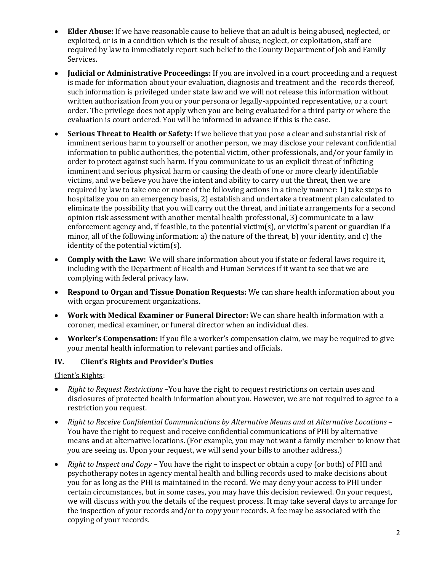- **Elder Abuse:** If we have reasonable cause to believe that an adult is being abused, neglected, or exploited, or is in a condition which is the result of abuse, neglect, or exploitation, staff are required by law to immediately report such belief to the County Department of Job and Family Services.
- **Judicial or Administrative Proceedings:** If you are involved in a court proceeding and a request is made for information about your evaluation, diagnosis and treatment and the records thereof, such information is privileged under state law and we will not release this information without written authorization from you or your persona or legally-appointed representative, or a court order. The privilege does not apply when you are being evaluated for a third party or where the evaluation is court ordered. You will be informed in advance if this is the case.
- **Serious Threat to Health or Safety:** If we believe that you pose a clear and substantial risk of imminent serious harm to yourself or another person, we may disclose your relevant confidential information to public authorities, the potential victim, other professionals, and/or your family in order to protect against such harm. If you communicate to us an explicit threat of inflicting imminent and serious physical harm or causing the death of one or more clearly identifiable victims, and we believe you have the intent and ability to carry out the threat, then we are required by law to take one or more of the following actions in a timely manner: 1) take steps to hospitalize you on an emergency basis, 2) establish and undertake a treatment plan calculated to eliminate the possibility that you will carry out the threat, and initiate arrangements for a second opinion risk assessment with another mental health professional, 3) communicate to a law enforcement agency and, if feasible, to the potential victim(s), or victim's parent or guardian if a minor, all of the following information: a) the nature of the threat, b) your identity, and c) the identity of the potential victim(s).
- **Comply with the Law:** We will share information about you if state or federal laws require it, including with the Department of Health and Human Services if it want to see that we are complying with federal privacy law.
- **Respond to Organ and Tissue Donation Requests:** We can share health information about you with organ procurement organizations.
- **Work with Medical Examiner or Funeral Director:** We can share health information with a coroner, medical examiner, or funeral director when an individual dies.
- **Worker's Compensation:** If you file a worker's compensation claim, we may be required to give your mental health information to relevant parties and officials.

### **IV. Client's Rights and Provider's Duties**

### Client's Rights:

- *Right to Request Restrictions –*You have the right to request restrictions on certain uses and disclosures of protected health information about you. However, we are not required to agree to a restriction you request.
- *Right to Receive Confidential Communications by Alternative Means and at Alternative Locations*  You have the right to request and receive confidential communications of PHI by alternative means and at alternative locations. (For example, you may not want a family member to know that you are seeing us. Upon your request, we will send your bills to another address.)
- *Right to Inspect and Copy*  You have the right to inspect or obtain a copy (or both) of PHI and psychotherapy notes in agency mental health and billing records used to make decisions about you for as long as the PHI is maintained in the record. We may deny your access to PHI under certain circumstances, but in some cases, you may have this decision reviewed. On your request, we will discuss with you the details of the request process. It may take several days to arrange for the inspection of your records and/or to copy your records. A fee may be associated with the copying of your records.